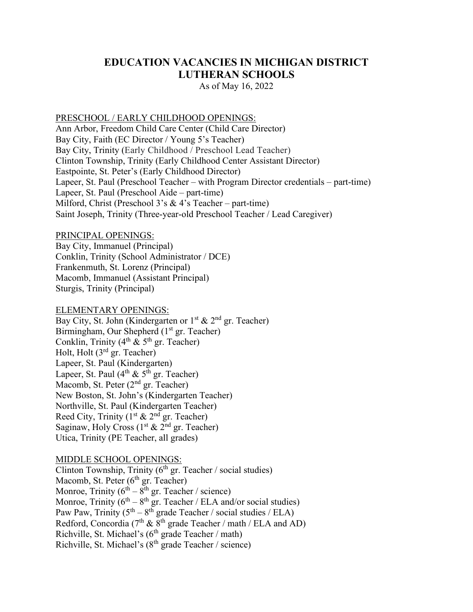# **EDUCATION VACANCIES IN MICHIGAN DISTRICT LUTHERAN SCHOOLS**

As of May 16, 2022

### PRESCHOOL / EARLY CHILDHOOD OPENINGS:

Ann Arbor, Freedom Child Care Center (Child Care Director) Bay City, Faith (EC Director / Young 5's Teacher) Bay City, Trinity (Early Childhood / Preschool Lead Teacher) Clinton Township, Trinity (Early Childhood Center Assistant Director) Eastpointe, St. Peter's (Early Childhood Director) Lapeer, St. Paul (Preschool Teacher – with Program Director credentials – part-time) Lapeer, St. Paul (Preschool Aide – part-time) Milford, Christ (Preschool 3's & 4's Teacher – part-time) Saint Joseph, Trinity (Three-year-old Preschool Teacher / Lead Caregiver)

### PRINCIPAL OPENINGS:

Bay City, Immanuel (Principal) Conklin, Trinity (School Administrator / DCE) Frankenmuth, St. Lorenz (Principal) Macomb, Immanuel (Assistant Principal) Sturgis, Trinity (Principal)

#### ELEMENTARY OPENINGS:

Bay City, St. John (Kindergarten or  $1^{st}$  &  $2^{nd}$  gr. Teacher) Birmingham, Our Shepherd  $(1<sup>st</sup> gr. Teacher)$ Conklin, Trinity  $(4^{th} \& 5^{th}$  gr. Teacher) Holt, Holt (3rd gr. Teacher) Lapeer, St. Paul (Kindergarten) Lapeer, St. Paul  $(4^{th} \& 5^{th}$  gr. Teacher) Macomb, St. Peter (2<sup>nd</sup> gr. Teacher) New Boston, St. John's (Kindergarten Teacher) Northville, St. Paul (Kindergarten Teacher) Reed City, Trinity  $(1<sup>st</sup> & 2<sup>nd</sup>$  gr. Teacher) Saginaw, Holy Cross  $(1<sup>st</sup> & 2<sup>nd</sup>$  gr. Teacher) Utica, Trinity (PE Teacher, all grades)

## MIDDLE SCHOOL OPENINGS:

Clinton Township, Trinity  $(6<sup>th</sup>$  gr. Teacher / social studies) Macomb, St. Peter (6<sup>th</sup> gr. Teacher) Monroe, Trinity ( $6<sup>th</sup> - 8<sup>th</sup>$  gr. Teacher / science) Monroe, Trinity  $(6^{th} – 8^{th}$  gr. Teacher / ELA and/or social studies) Paw Paw, Trinity  $(5^{th} – 8^{th})$  grade Teacher / social studies / ELA) Redford, Concordia (7<sup>th</sup> &  $8^{th}$  grade Teacher / math / ELA and AD) Richville, St. Michael's ( $6<sup>th</sup>$  grade Teacher / math) Richville, St. Michael's  $(8<sup>th</sup> \text{ grade Teacher} / \text{ science})$